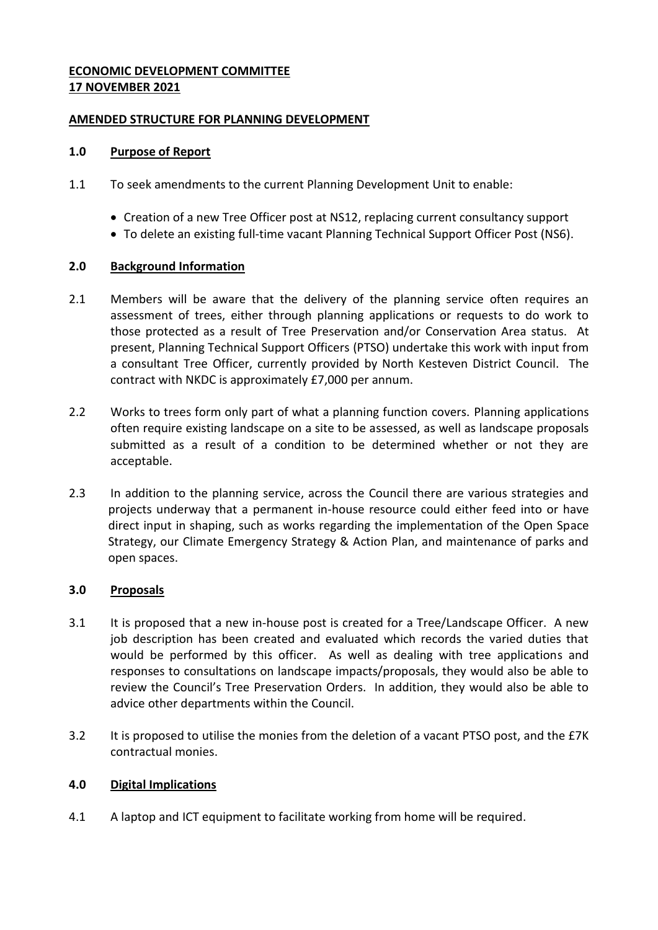## **ECONOMIC DEVELOPMENT COMMITTEE 17 NOVEMBER 2021**

## **AMENDED STRUCTURE FOR PLANNING DEVELOPMENT**

### **1.0 Purpose of Report**

- 1.1 To seek amendments to the current Planning Development Unit to enable:
	- Creation of a new Tree Officer post at NS12, replacing current consultancy support
	- To delete an existing full-time vacant Planning Technical Support Officer Post (NS6).

## **2.0 Background Information**

- 2.1 Members will be aware that the delivery of the planning service often requires an assessment of trees, either through planning applications or requests to do work to those protected as a result of Tree Preservation and/or Conservation Area status. At present, Planning Technical Support Officers (PTSO) undertake this work with input from a consultant Tree Officer, currently provided by North Kesteven District Council. The contract with NKDC is approximately £7,000 per annum.
- 2.2 Works to trees form only part of what a planning function covers. Planning applications often require existing landscape on a site to be assessed, as well as landscape proposals submitted as a result of a condition to be determined whether or not they are acceptable.
- 2.3 In addition to the planning service, across the Council there are various strategies and projects underway that a permanent in-house resource could either feed into or have direct input in shaping, such as works regarding the implementation of the Open Space Strategy, our Climate Emergency Strategy & Action Plan, and maintenance of parks and open spaces.

### **3.0 Proposals**

- 3.1 It is proposed that a new in-house post is created for a Tree/Landscape Officer. A new job description has been created and evaluated which records the varied duties that would be performed by this officer. As well as dealing with tree applications and responses to consultations on landscape impacts/proposals, they would also be able to review the Council's Tree Preservation Orders. In addition, they would also be able to advice other departments within the Council.
- 3.2 It is proposed to utilise the monies from the deletion of a vacant PTSO post, and the £7K contractual monies.

### **4.0 Digital Implications**

4.1 A laptop and ICT equipment to facilitate working from home will be required.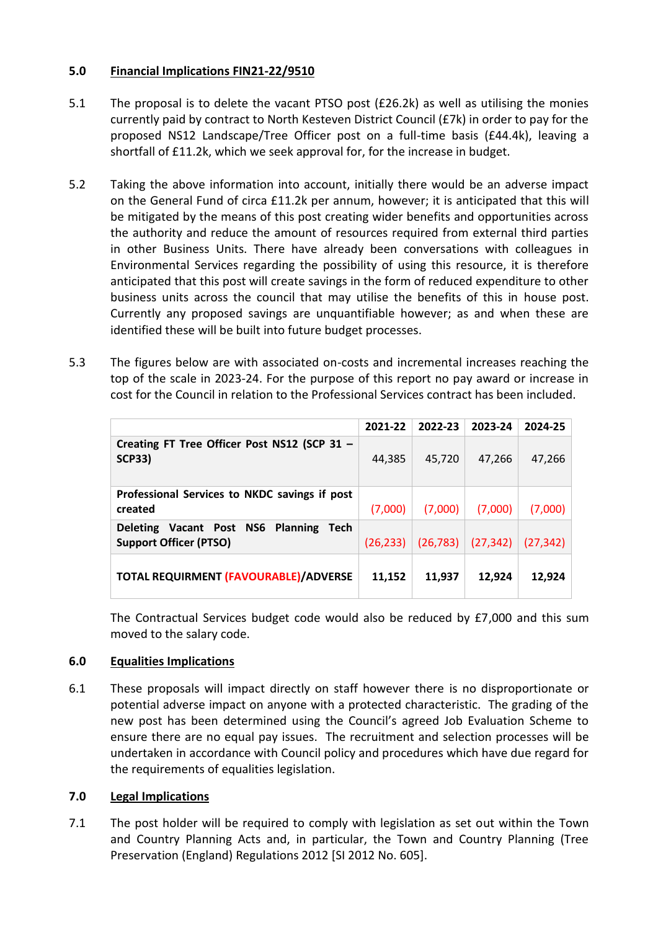# **5.0 Financial Implications FIN21-22/9510**

- 5.1 The proposal is to delete the vacant PTSO post (£26.2k) as well as utilising the monies currently paid by contract to North Kesteven District Council (£7k) in order to pay for the proposed NS12 Landscape/Tree Officer post on a full-time basis (£44.4k), leaving a shortfall of £11.2k, which we seek approval for, for the increase in budget.
- 5.2 Taking the above information into account, initially there would be an adverse impact on the General Fund of circa £11.2k per annum, however; it is anticipated that this will be mitigated by the means of this post creating wider benefits and opportunities across the authority and reduce the amount of resources required from external third parties in other Business Units. There have already been conversations with colleagues in Environmental Services regarding the possibility of using this resource, it is therefore anticipated that this post will create savings in the form of reduced expenditure to other business units across the council that may utilise the benefits of this in house post. Currently any proposed savings are unquantifiable however; as and when these are identified these will be built into future budget processes.
- 5.3 The figures below are with associated on-costs and incremental increases reaching the top of the scale in 2023-24. For the purpose of this report no pay award or increase in cost for the Council in relation to the Professional Services contract has been included.

|                                                                                      | 2021-22   | 2022-23   | 2023-24   | 2024-25   |
|--------------------------------------------------------------------------------------|-----------|-----------|-----------|-----------|
| Creating FT Tree Officer Post NS12 (SCP 31 -<br><b>SCP33)</b>                        | 44.385    | 45.720    | 47,266    | 47,266    |
| Professional Services to NKDC savings if post<br>created                             | (7,000)   | (7,000)   | (7,000)   | (7,000)   |
| Deleting Vacant Post NS6<br><b>Planning</b><br>Tech<br><b>Support Officer (PTSO)</b> | (26, 233) | (26, 783) | (27, 342) | (27, 342) |
| <b>TOTAL REQUIRMENT (FAVOURABLE)/ADVERSE</b>                                         | 11,152    | 11,937    | 12,924    | 12,924    |

The Contractual Services budget code would also be reduced by £7,000 and this sum moved to the salary code.

# **6.0 Equalities Implications**

6.1 These proposals will impact directly on staff however there is no disproportionate or potential adverse impact on anyone with a protected characteristic. The grading of the new post has been determined using the Council's agreed Job Evaluation Scheme to ensure there are no equal pay issues. The recruitment and selection processes will be undertaken in accordance with Council policy and procedures which have due regard for the requirements of equalities legislation.

### **7.0 Legal Implications**

7.1 The post holder will be required to comply with legislation as set out within the Town and Country Planning Acts and, in particular, the Town and Country Planning (Tree Preservation (England) Regulations 2012 [SI 2012 No. 605].